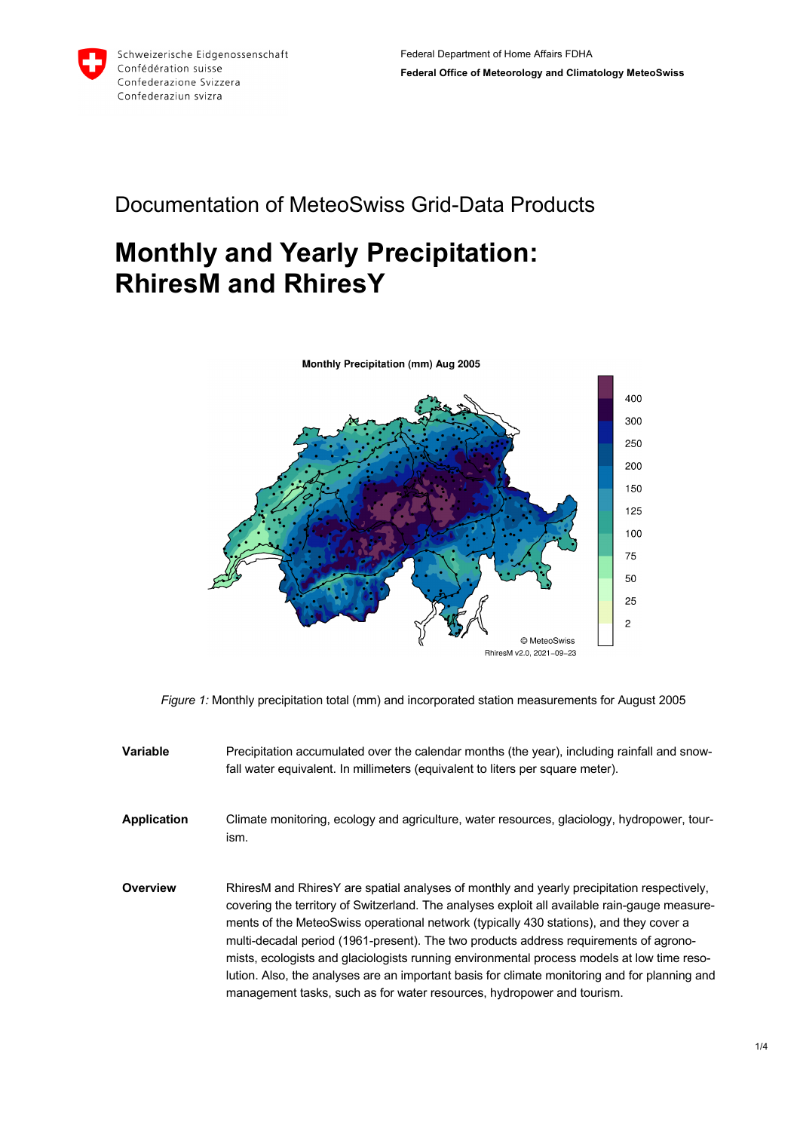

## Documentation of MeteoSwiss Grid-Data Products

## **Monthly and Yearly Precipitation: RhiresM and RhiresY**



*Figure 1:* Monthly precipitation total (mm) and incorporated station measurements for August 2005

- **Variable** Precipitation accumulated over the calendar months (the year), including rainfall and snowfall water equivalent. In millimeters (equivalent to liters per square meter).
- **Application** Climate monitoring, ecology and agriculture, water resources, glaciology, hydropower, tourism.
- **Overview** RhiresM and RhiresY are spatial analyses of monthly and yearly precipitation respectively, covering the territory of Switzerland. The analyses exploit all available rain-gauge measurements of the MeteoSwiss operational network (typically 430 stations), and they cover a multi-decadal period (1961-present). The two products address requirements of agronomists, ecologists and glaciologists running environmental process models at low time resolution. Also, the analyses are an important basis for climate monitoring and for planning and management tasks, such as for water resources, hydropower and tourism.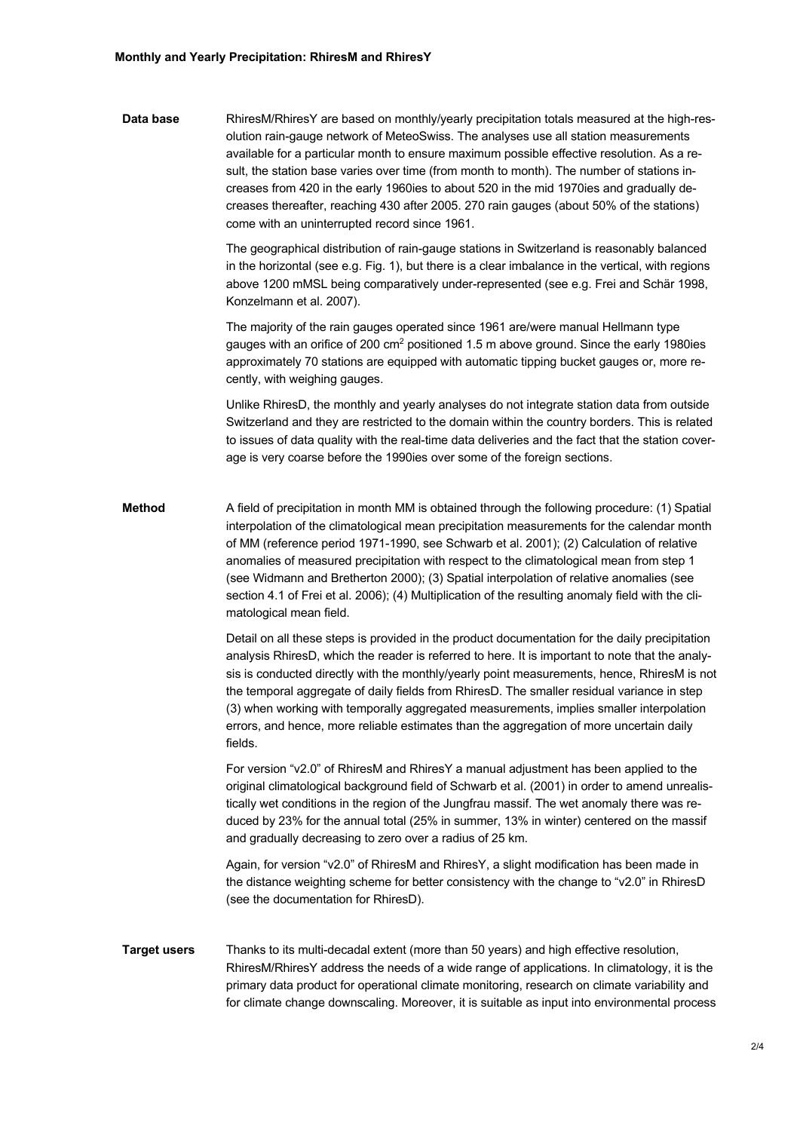**Data base** RhiresM/RhiresY are based on monthly/yearly precipitation totals measured at the high-resolution rain-gauge network of MeteoSwiss. The analyses use all station measurements available for a particular month to ensure maximum possible effective resolution. As a result, the station base varies over time (from month to month). The number of stations increases from 420 in the early 1960ies to about 520 in the mid 1970ies and gradually decreases thereafter, reaching 430 after 2005. 270 rain gauges (about 50% of the stations) come with an uninterrupted record since 1961.

> The geographical distribution of rain-gauge stations in Switzerland is reasonably balanced in the horizontal (see e.g. Fig. 1), but there is a clear imbalance in the vertical, with regions above 1200 mMSL being comparatively under-represented (see e.g. Frei and Schär 1998, Konzelmann et al. 2007).

> The majority of the rain gauges operated since 1961 are/were manual Hellmann type gauges with an orifice of 200 cm<sup>2</sup> positioned 1.5 m above ground. Since the early 1980ies approximately 70 stations are equipped with automatic tipping bucket gauges or, more recently, with weighing gauges.

Unlike RhiresD, the monthly and yearly analyses do not integrate station data from outside Switzerland and they are restricted to the domain within the country borders. This is related to issues of data quality with the real-time data deliveries and the fact that the station coverage is very coarse before the 1990ies over some of the foreign sections.

**Method** A field of precipitation in month MM is obtained through the following procedure: (1) Spatial interpolation of the climatological mean precipitation measurements for the calendar month of MM (reference period 1971-1990, see Schwarb et al. 2001); (2) Calculation of relative anomalies of measured precipitation with respect to the climatological mean from step 1 (see Widmann and Bretherton 2000); (3) Spatial interpolation of relative anomalies (see section 4.1 of Frei et al. 2006); (4) Multiplication of the resulting anomaly field with the climatological mean field.

> Detail on all these steps is provided in the product documentation for the daily precipitation analysis RhiresD, which the reader is referred to here. It is important to note that the analysis is conducted directly with the monthly/yearly point measurements, hence, RhiresM is not the temporal aggregate of daily fields from RhiresD. The smaller residual variance in step (3) when working with temporally aggregated measurements, implies smaller interpolation errors, and hence, more reliable estimates than the aggregation of more uncertain daily fields.

For version "v2.0" of RhiresM and RhiresY a manual adjustment has been applied to the original climatological background field of Schwarb et al. (2001) in order to amend unrealistically wet conditions in the region of the Jungfrau massif. The wet anomaly there was reduced by 23% for the annual total (25% in summer, 13% in winter) centered on the massif and gradually decreasing to zero over a radius of 25 km.

Again, for version "v2.0" of RhiresM and RhiresY, a slight modification has been made in the distance weighting scheme for better consistency with the change to "v2.0" in RhiresD (see the documentation for RhiresD).

## **Target users** Thanks to its multi-decadal extent (more than 50 years) and high effective resolution, RhiresM/RhiresY address the needs of a wide range of applications. In climatology, it is the primary data product for operational climate monitoring, research on climate variability and for climate change downscaling. Moreover, it is suitable as input into environmental process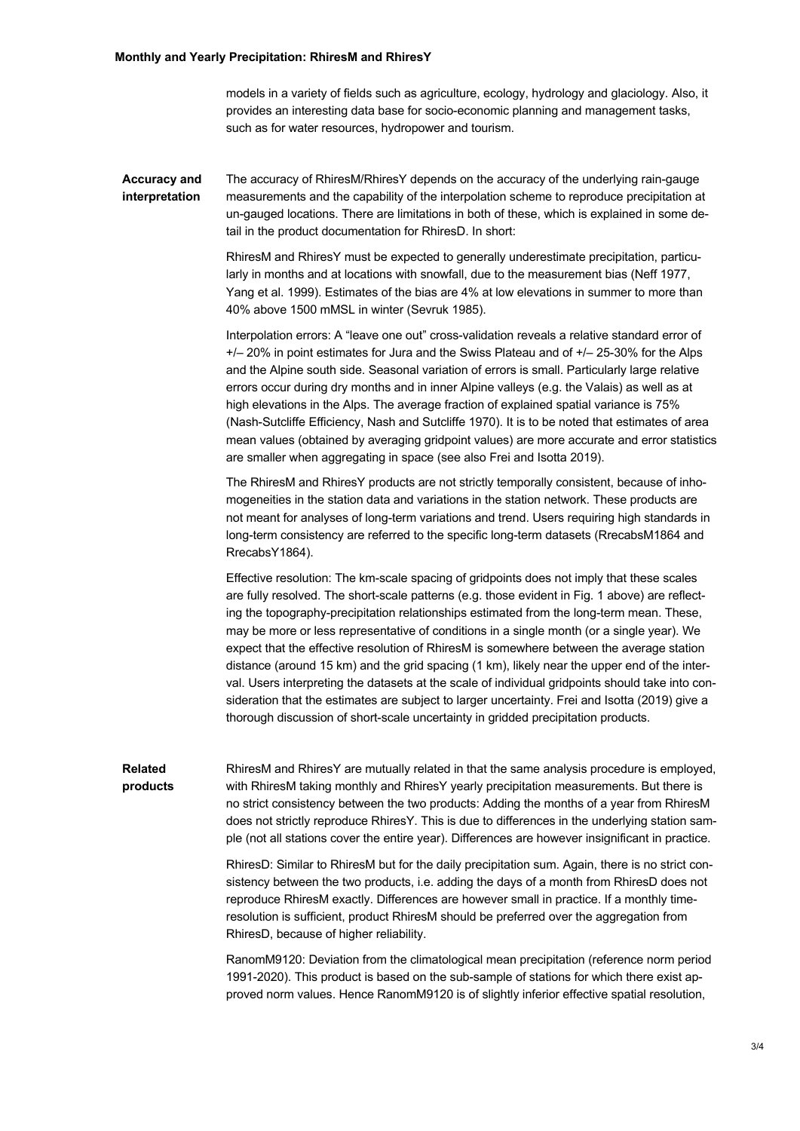models in a variety of fields such as agriculture, ecology, hydrology and glaciology. Also, it provides an interesting data base for socio-economic planning and management tasks, such as for water resources, hydropower and tourism.

**Accuracy and interpretation** The accuracy of RhiresM/RhiresY depends on the accuracy of the underlying rain-gauge measurements and the capability of the interpolation scheme to reproduce precipitation at un-gauged locations. There are limitations in both of these, which is explained in some detail in the product documentation for RhiresD. In short:

> RhiresM and RhiresY must be expected to generally underestimate precipitation, particularly in months and at locations with snowfall, due to the measurement bias (Neff 1977, Yang et al. 1999). Estimates of the bias are 4% at low elevations in summer to more than 40% above 1500 mMSL in winter (Sevruk 1985).

Interpolation errors: A "leave one out" cross-validation reveals a relative standard error of +/– 20% in point estimates for Jura and the Swiss Plateau and of +/– 25-30% for the Alps and the Alpine south side. Seasonal variation of errors is small. Particularly large relative errors occur during dry months and in inner Alpine valleys (e.g. the Valais) as well as at high elevations in the Alps. The average fraction of explained spatial variance is 75% (Nash-Sutcliffe Efficiency, Nash and Sutcliffe 1970). It is to be noted that estimates of area mean values (obtained by averaging gridpoint values) are more accurate and error statistics are smaller when aggregating in space (see also Frei and Isotta 2019).

The RhiresM and RhiresY products are not strictly temporally consistent, because of inhomogeneities in the station data and variations in the station network. These products are not meant for analyses of long-term variations and trend. Users requiring high standards in long-term consistency are referred to the specific long-term datasets (RrecabsM1864 and RrecabsY1864).

Effective resolution: The km-scale spacing of gridpoints does not imply that these scales are fully resolved. The short-scale patterns (e.g. those evident in Fig. 1 above) are reflecting the topography-precipitation relationships estimated from the long-term mean. These, may be more or less representative of conditions in a single month (or a single year). We expect that the effective resolution of RhiresM is somewhere between the average station distance (around 15 km) and the grid spacing (1 km), likely near the upper end of the interval. Users interpreting the datasets at the scale of individual gridpoints should take into consideration that the estimates are subject to larger uncertainty. Frei and Isotta (2019) give a thorough discussion of short-scale uncertainty in gridded precipitation products.

**Related products** RhiresM and RhiresY are mutually related in that the same analysis procedure is employed, with RhiresM taking monthly and RhiresY yearly precipitation measurements. But there is no strict consistency between the two products: Adding the months of a year from RhiresM does not strictly reproduce RhiresY. This is due to differences in the underlying station sample (not all stations cover the entire year). Differences are however insignificant in practice.

> RhiresD: Similar to RhiresM but for the daily precipitation sum. Again, there is no strict consistency between the two products, i.e. adding the days of a month from RhiresD does not reproduce RhiresM exactly. Differences are however small in practice. If a monthly timeresolution is sufficient, product RhiresM should be preferred over the aggregation from RhiresD, because of higher reliability.

> RanomM9120: Deviation from the climatological mean precipitation (reference norm period 1991-2020). This product is based on the sub-sample of stations for which there exist approved norm values. Hence RanomM9120 is of slightly inferior effective spatial resolution,